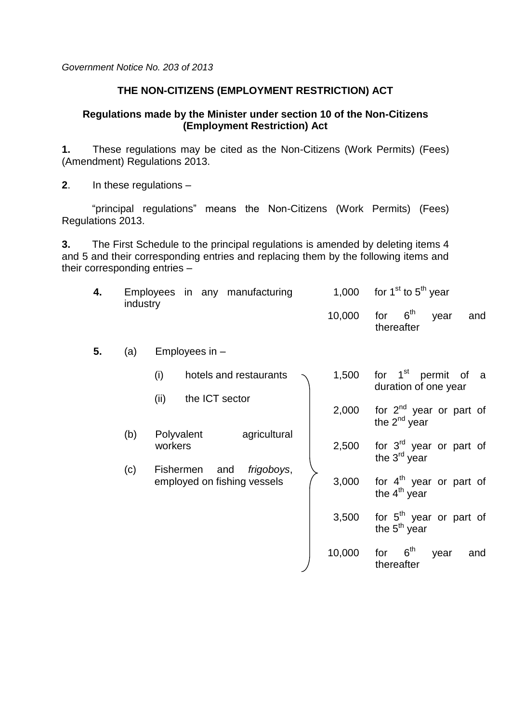*Government Notice No. 203 of 2013*

## **THE NON-CITIZENS (EMPLOYMENT RESTRICTION) ACT**

## **Regulations made by the Minister under section 10 of the Non-Citizens (Employment Restriction) Act**

**1.** These regulations may be cited as the Non-Citizens (Work Permits) (Fees) (Amendment) Regulations 2013.

**2**. In these regulations –

"principal regulations" means the Non-Citizens (Work Permits) (Fees) Regulations 2013.

**3.** The First Schedule to the principal regulations is amended by deleting items 4 and 5 and their corresponding entries and replacing them by the following items and their corresponding entries –

| 4. | industry |                       | Employees in any manufacturing |                                           | 1,000                                                           | for $1st$ to $5th$ year                               |
|----|----------|-----------------------|--------------------------------|-------------------------------------------|-----------------------------------------------------------------|-------------------------------------------------------|
|    |          |                       |                                |                                           | 10,000                                                          | 6 <sup>th</sup><br>for<br>year<br>and<br>thereafter   |
| 5. | (a)      |                       | Employees in -                 |                                           |                                                                 |                                                       |
|    |          | (i)                   |                                | hotels and restaurants                    | 1,500                                                           | for $1st$ permit<br>of<br>a<br>duration of one year   |
|    |          | (ii)                  | the ICT sector<br>agricultural | 2,000                                     | for $2^{nd}$ year or part of<br>the $2^{nd}$ year               |                                                       |
|    | (b)      | Polyvalent<br>workers |                                | 2,500                                     | for 3 <sup>rd</sup> year or part of<br>the 3 <sup>rd</sup> year |                                                       |
|    | (c)      | <b>Fishermen</b>      | and                            | frigoboys,<br>employed on fishing vessels | 3,000                                                           | for $4th$ year or part of<br>the $4th$ year           |
|    |          |                       |                                |                                           | 3,500                                                           | for 5 <sup>th</sup> year or part of<br>the $5th$ year |
|    |          |                       |                                |                                           | 10,000                                                          | 6 <sup>th</sup><br>for<br>year<br>and<br>thereafter   |